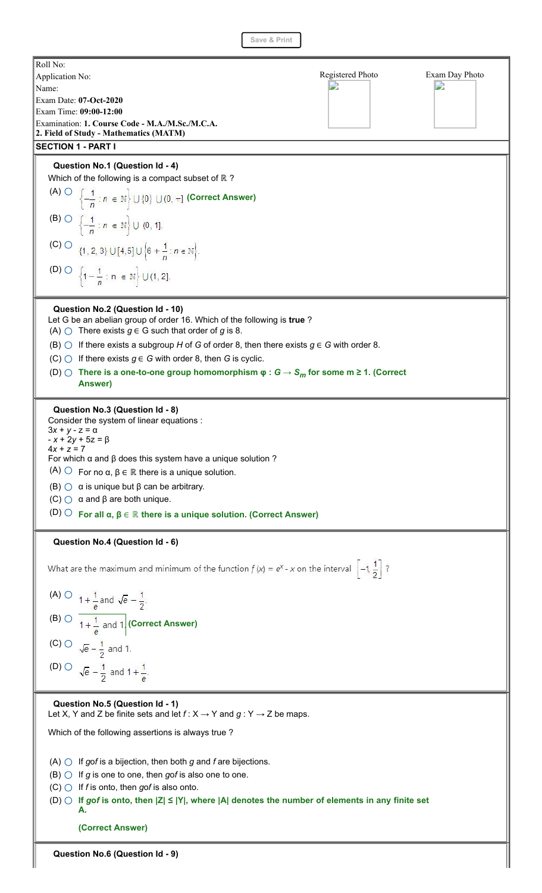**Save & Print**



**Question No.6 (Question Id - 9)**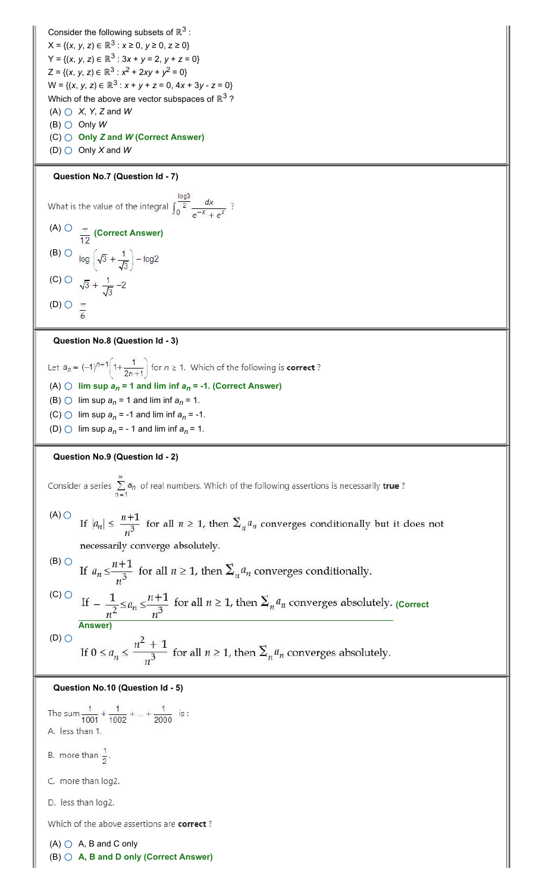Consider the following subsets of  $\mathbb{R}^3$  :  $X = \{(x, y, z) \in \mathbb{R}^3 : x \ge 0, y \ge 0, z \ge 0\}$ Y = {(*x*, *y*, *z*) ∈ ℝ<sup>3</sup> : 3*x* + *y* = 2, *y* + *z* = 0}  $Z = \{(x, y, z) \in \mathbb{R}^3 : x^2 + 2xy + y^2 = 0\}$ W = {(*x*, *y*, *z*) ∈ ℝ<sup>3</sup> : *x* + *y* + *z* = 0, 4*x* + 3*y* - *z* = 0} Which of the above are vector subspaces of  $\mathbb{R}^3$  ?  $(A)$   $\bigcirc$   $X$ ,  $Y$ ,  $Z$  and  $W$  $(B)$  Only W (C) **Only** *Z* **and** *W* **(Correct Answer)**

(D) Only *X* and *W*

## **Question No.7 (Question Id - 7)**

What is the value of the integral  $\int_{0}^{\frac{\log 3}{2}} \frac{dx}{e^{-x} + e^{x}}$ ? (A)  $\circlearrowright$   $\frac{\pi}{12}$  (Correct Answer) (B)  $\overline{O}$   $\overline{log}$   $\left(\sqrt{3} + \frac{1}{\sqrt{3}}\right) - log2$ 

(C)  $\sqrt{3} + \frac{1}{\sqrt{3}} - 2$ (D)  $\bigcirc$   $\frac{\pi}{6}$ 

## **Question No.8 (Question Id - 3)**

Let  $a_n = (-1)^{n+1} \left(1 + \frac{1}{2n+1}\right)$  for  $n \ge 1$ . Which of the following is **correct**? (A)  $\bigcirc$  lim sup  $a_n = 1$  and lim inf  $a_n = -1$ . (Correct Answer) (B)  $\bigcirc$  lim sup  $a_n = 1$  and lim inf  $a_n = 1$ . (C)  $\bigcirc$  lim sup  $a_n = -1$  and lim inf  $a_n = -1$ . (D)  $\bigcirc$  lim sup  $a_n = -1$  and lim inf  $a_n = 1$ .

# **Question No.9 (Question Id - 2)**

Consider a series  $\sum_{n=1}^{\infty} a_n$  of real numbers. Which of the following assertions is necessarily true?

 $(A)$   $\bigcirc$ If  $|a_n| \leq \frac{n+1}{n^3}$  for all  $n \geq 1$ , then  $\sum_n a_n$  converges conditionally but it does not necessarily converge absolutely.

(B) 
$$
\circ
$$
 If  $a_n \leq \frac{n+1}{n^3}$  for all  $n \geq 1$ , then  $\sum_n a_n$  converges conditionally.  
\n(C)  $\circ$  If  $-\frac{1}{n^2} \leq a_n \leq \frac{n+1}{n^3}$  for all  $n \geq 1$ , then  $\sum_n a_n$  converges absolutely.  
\n(1)  $\circ$ 

If 
$$
0 \le a_n \le \frac{n^2 + 1}{n^3}
$$
 for all  $n \ge 1$ , then  $\sum_n a_n$  converges absolutely.

### **Question No.10 (Question Id - 5)**



(B) **A, B and D only (Correct Answer)**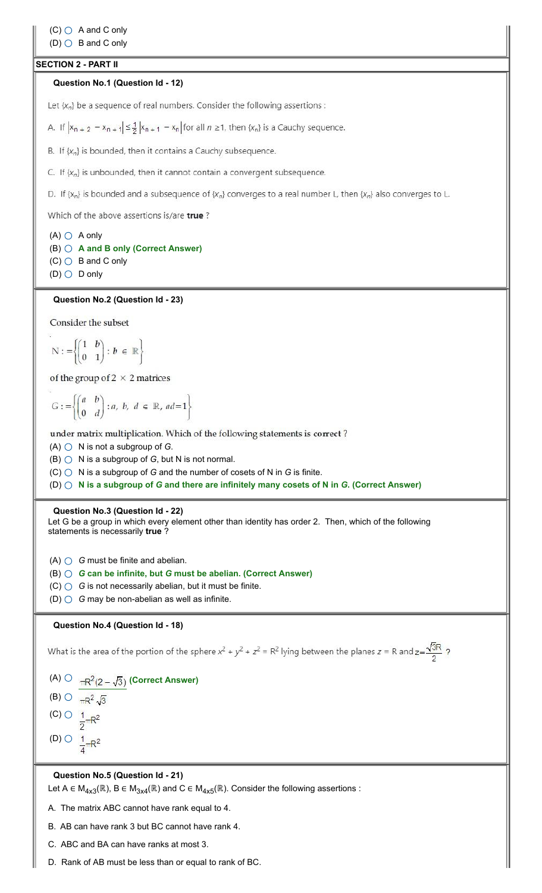# **SECTION 2 - PART II**

#### **Question No.1 (Question Id - 12)**

Let  $\{x_n\}$  be a sequence of real numbers. Consider the following assertions :

A. If  $|x_{n+2} - x_{n+1}| \leq \frac{1}{2} |x_{n+1} - x_n|$  for all  $n \geq 1$ , then  $\{x_n\}$  is a Cauchy sequence.

B. If  $\{x_n\}$  is bounded, then it contains a Cauchy subsequence.

C. If  $\{x_n\}$  is unbounded, then it cannot contain a convergent subsequence.

D. If {x<sub>n</sub>} is bounded and a subsequence of {x<sub>n</sub>} converges to a real number L, then {x<sub>n</sub>} also converges to L.

Which of the above assertions is/are true?

 $(A)$   $\bigcirc$  A only (B) **A and B only (Correct Answer)**  $(C)$  B and C only  $(D)$   $\bigcirc$  D only

#### **Question No.2 (Question Id - 23)**

Consider the subset

$$
N: = \left\{ \begin{pmatrix} 1 & b \\ 0 & 1 \end{pmatrix} : b \in \mathbb{R} \right\}
$$

of the group of  $2 \times 2$  matrices

$$
G: = \left\{ \begin{pmatrix} a & b \\ 0 & d \end{pmatrix} : a, \ b, \ d \in \mathbb{R}, \ ad = 1 \right\}
$$

under matrix multiplication. Which of the following statements is correct?

 $(A)$   $\bigcirc$   $N$  is not a subgroup of *G*.

 $(B)$   $\bigcirc$   $N$  is a subgroup of *G*, but N is not normal.

 $(C)$   $\bigcirc$   $N$  is a subgroup of *G* and the number of cosets of N in *G* is finite.

(D) **N is a subgroup of** *G* **and there are infinitely many cosets of N in** *G***. (Correct Answer)**

#### **Question No.3 (Question Id - 22)**

Let G be a group in which every element other than identity has order 2. Then, which of the following statements is necessarily **true** ?

 $(A)$   $\bigcirc$   $G$  must be finite and abelian.

(B) *G* **can be infinite, but** *G* **must be abelian. (Correct Answer)**

 $(C)$   $\bigcirc$   $G$  is not necessarily abelian, but it must be finite.

(D) *G* may be non-abelian as well as infinite.

### **Question No.4 (Question Id - 18)**

What is the area of the portion of the sphere  $x^2 + y^2 + z^2 = R^2$  lying between the planes  $z = R$  and  $z = \frac{\sqrt{3}R}{2}$ ?

(A)  $\bigcirc \frac{1}{\pi R^2(2-\sqrt{3})}$  (Correct Answer) (B)  $\bigcirc$   $\frac{}{\pi R^2 \sqrt{3}}$ (C)  $\bigcirc$   $\frac{1}{2} \pi R^2$ (D)  $\bigcirc$   $\frac{1}{4} \pi R^2$ 

## **Question No.5 (Question Id - 21)**

Let A  $\in$  M<sub>4x3</sub>(ℝ), B  $\in$  M<sub>3x4</sub>(ℝ) and C  $\in$  M<sub>4x5</sub>(ℝ). Consider the following assertions :

A. The matrix ABC cannot have rank equal to 4.

B. AB can have rank 3 but BC cannot have rank 4.

C. ABC and BA can have ranks at most 3.

D. Rank of AB must be less than or equal to rank of BC.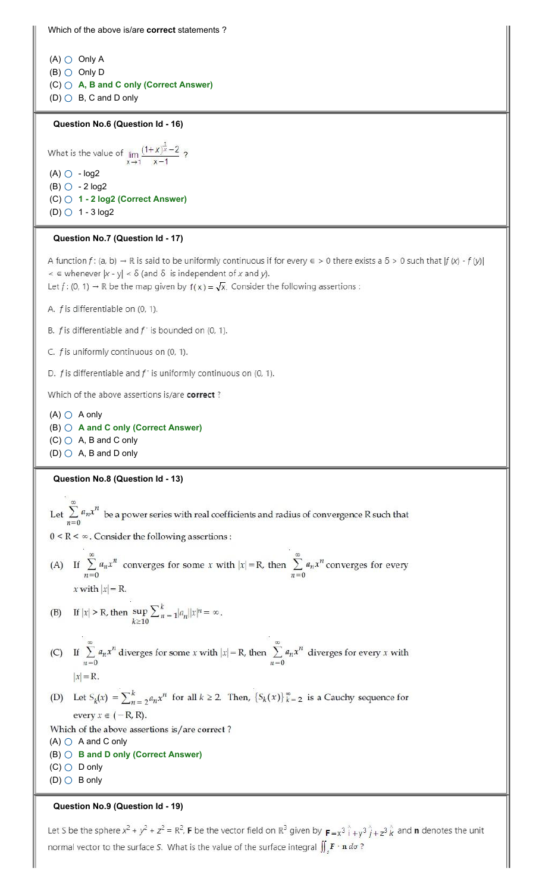Which of the above is/are **correct** statements ?

 $(A)$   $\bigcirc$  Only A  $(B)$  Only D (C) **A, B and C only (Correct Answer)**  $(D)$  B, C and D only

#### **Question No.6 (Question Id - 16)**

What is the value of  $\lim_{x \to 1} \frac{(1+x)^{\frac{1}{x}} - 2}{x-1}$ ?  $(A)$   $\bigcirc$  - log2  $(B)$   $\circ$  - 2 log2 (C) **1 - 2 log2 (Correct Answer)** (D)  $\bigcirc$  1 - 3 log2

## **Question No.7 (Question Id - 17)**

A function  $f: (a, b) \to \mathbb{R}$  is said to be uniformly continuous if for every  $\epsilon > 0$  there exists a  $\delta > 0$  such that  $|f(x) - f(y)|$  $\leq$   $\in$  whenever  $|x - y|$   $\leq$   $\delta$  (and  $\delta$  is independent of x and y). Let  $f: (0, 1) \rightarrow \mathbb{R}$  be the map given by  $f(x) = \sqrt{x}$ . Consider the following assertions :

A. f is differentiable on (0, 1).

B.  $f$  is differentiable and  $f'$  is bounded on (0, 1).

C.  $f$  is uniformly continuous on (0, 1).

D.  $f$  is differentiable and  $f'$  is uniformly continuous on (0, 1).

Which of the above assertions is/are correct?

 $(A)$   $\bigcirc$  A only (B) **A and C only (Correct Answer)**  $(C)$   $\bigcirc$  A, B and C only  $(D)$   $\bigcirc$  A, B and D only

**Question No.8 (Question Id - 13)**

Let  $\sum_{n=0}^{\infty} a_n x^n$  be a power series with real coefficients and radius of convergence R such that  $0 < R < \infty$  . Consider the following assertions : (A) If  $\sum_{n=0}^{\infty} a_n x^n$  converges for some x with  $|x| = R$ , then  $\sum_{n=0}^{\infty} a_n x^n$  converges for every x with  $|x| = R$ . (B) If  $|x| > R$ , then  $\sup_{k \ge 10} \sum_{n=1}^{k} |a_n||x|^n = \infty$ . (C) If  $\sum_{n=0}^{\infty} a_n x^n$  diverges for some x with  $|x| = R$ , then  $\sum_{n=0}^{\infty} a_n x^n$  diverges for every x with  $|x| = R$ . (D) Let  $S_k(x) = \sum_{n=2}^k a_n x^n$  for all  $k \ge 2$ . Then,  $\{S_k(x)\}_{k=2}^\infty$  is a Cauchy sequence for every  $x \in (-R, R)$ . Which of the above assertions is/are correct?  $(A)$   $\bigcirc$  A and C only (B) **B and D only (Correct Answer)**  $(C)$  D only

 $(D)$  B only

**Question No.9 (Question Id - 19)**

Let S be the sphere  $x^2 + y^2 + z^2 = R^2$ , **F** be the vector field on  $\mathbb{R}^3$  given by  $\mathbf{F} = x^3 \hat{i} + y^3 \hat{j} + z^3 \hat{k}$  and **n** denotes the unit normal vector to the surface S. What is the value of the surface integral  $\iint_{\mathbb{R}} \mathbf{F} \cdot \mathbf{n} d\sigma$ ?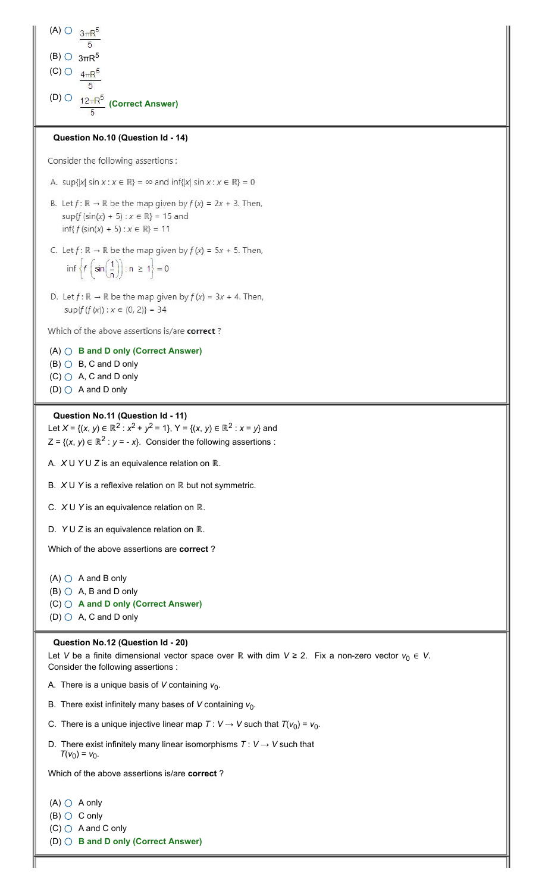```
(A) \circlearrowright _{3\pi}F
(B) \bigcirc 3πR<sup>5</sup>
(C) Q 4\pi R^5(D) \bigcirc \big| 12\pi R^5(Correct Answer)
```
# **Question No.10 (Question Id - 14)**

Consider the following assertions :

A. sup{|x| sin  $x : x \in \mathbb{R}$ } =  $\infty$  and inf{|x| sin  $x : x \in \mathbb{R}$ } = 0

- B. Let  $f: \mathbb{R} \to \mathbb{R}$  be the map given by  $f(x) = 2x + 3$ . Then,  $\sup\{f(\sin(x) + 5) : x \in \mathbb{R}\} = 15$  and  $inf{f(sin(x) + 5) : x \in \mathbb{R}} = 11$
- C. Let  $f: \mathbb{R} \to \mathbb{R}$  be the map given by  $f(x) = 5x + 5$ . Then,  $\inf \left\{ f\left(\sin\left(\frac{1}{n}\right)\right): n \geq 1 \right\} = 0$
- D. Let  $f: \mathbb{R} \to \mathbb{R}$  be the map given by  $f(x) = 3x + 4$ . Then,  $\sup\{f(f(x)) : x \in (0, 2)\} = 34$

Which of the above assertions is/are correct?

# (A) **B and D only (Correct Answer)**

- $(B)$   $\bigcirc$   $B$ ,  $C$  and  $D$  only
- $(C)$   $\bigcirc$  A, C and D only
- $(D)$   $\bigcirc$  A and D only

#### **Question No.11 (Question Id - 11)**

Let *X* = {(*x*, *y*)  $\in \mathbb{R}^2$  :  $x^2 + y^2 = 1$ },  $Y = \{(x, y) \in \mathbb{R}^2$  :  $x = y\}$  and  $Z = \{(x, y) \in \mathbb{R}^2 : y = -x\}$ . Consider the following assertions :

A. *X* U *Y* U *Z* is an equivalence relation on ℝ.

B. *X* U *Y* is a reflexive relation on ℝ but not symmetric.

C. *X* U *Y* is an equivalence relation on ℝ.

D. *Y* U *Z* is an equivalence relation on ℝ.

Which of the above assertions are **correct** ?

 $(A)$   $\bigcirc$  A and B only  $(B)$   $\bigcirc$  A, B and D only (C) **A and D only (Correct Answer)**  $(D)$   $\bigcirc$  A, C and D only

#### **Question No.12 (Question Id - 20)**

Let *V* be a finite dimensional vector space over ℝ with dim *V* ≥ 2. Fix a non-zero vector  $v_0 \in V$ . Consider the following assertions :

A. There is a unique basis of *V* containing  $v_0$ .

B. There exist infinitely many bases of V containing  $v_0$ .

C. There is a unique injective linear map  $T: V \rightarrow V$  such that  $T(v_0) = v_0$ .

D. There exist infinitely many linear isomorphisms  $T: V \rightarrow V$  such that  $T(v_0) = v_0$ .

Which of the above assertions is/are **correct** ?

 $(A)$   $\bigcirc$  A only

 $(B)$   $\bigcirc$  C only

 $(C)$   $\bigcirc$  A and C only

(D) **B and D only (Correct Answer)**